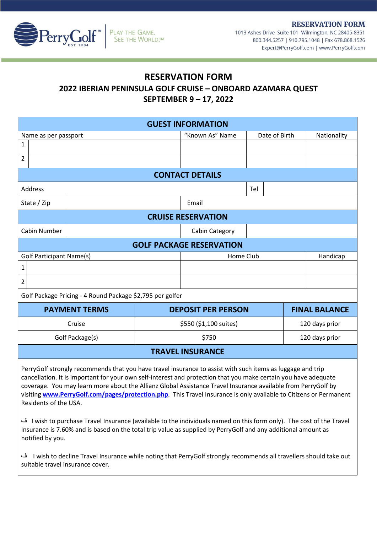**RESERVATION FORM** 



1013 Ashes Drive Suite 101 Wilmington, NC 28405-8351 800.344.5257 | 910.795.1048 | Fax 678.868.1526 Expert@PerryGolf.com | www.PerryGolf.com

## **RESERVATION FORM**

**2022 IBERIAN PENINSULA GOLF CRUISE – ONBOARD AZAMARA QUEST**

## **SEPTEMBER 9 – 17, 2022**

| <b>GUEST INFORMATION</b>                                                                                                                                                                                                                                                                                                                                                                                                                                                                                                                                                                                                                                                                                                                                |  |                                 |                           |                |     |                |                      |  |
|---------------------------------------------------------------------------------------------------------------------------------------------------------------------------------------------------------------------------------------------------------------------------------------------------------------------------------------------------------------------------------------------------------------------------------------------------------------------------------------------------------------------------------------------------------------------------------------------------------------------------------------------------------------------------------------------------------------------------------------------------------|--|---------------------------------|---------------------------|----------------|-----|----------------|----------------------|--|
| Name as per passport                                                                                                                                                                                                                                                                                                                                                                                                                                                                                                                                                                                                                                                                                                                                    |  | "Known As" Name                 |                           | Date of Birth  |     | Nationality    |                      |  |
| 1                                                                                                                                                                                                                                                                                                                                                                                                                                                                                                                                                                                                                                                                                                                                                       |  |                                 |                           |                |     |                |                      |  |
| $\overline{2}$                                                                                                                                                                                                                                                                                                                                                                                                                                                                                                                                                                                                                                                                                                                                          |  |                                 |                           |                |     |                |                      |  |
| <b>CONTACT DETAILS</b>                                                                                                                                                                                                                                                                                                                                                                                                                                                                                                                                                                                                                                                                                                                                  |  |                                 |                           |                |     |                |                      |  |
| <b>Address</b>                                                                                                                                                                                                                                                                                                                                                                                                                                                                                                                                                                                                                                                                                                                                          |  |                                 |                           |                | Tel |                |                      |  |
| State / Zip                                                                                                                                                                                                                                                                                                                                                                                                                                                                                                                                                                                                                                                                                                                                             |  |                                 | Email                     |                |     |                |                      |  |
| <b>CRUISE RESERVATION</b>                                                                                                                                                                                                                                                                                                                                                                                                                                                                                                                                                                                                                                                                                                                               |  |                                 |                           |                |     |                |                      |  |
| Cabin Number                                                                                                                                                                                                                                                                                                                                                                                                                                                                                                                                                                                                                                                                                                                                            |  |                                 |                           | Cabin Category |     |                |                      |  |
|                                                                                                                                                                                                                                                                                                                                                                                                                                                                                                                                                                                                                                                                                                                                                         |  | <b>GOLF PACKAGE RESERVATION</b> |                           |                |     |                |                      |  |
| <b>Golf Participant Name(s)</b>                                                                                                                                                                                                                                                                                                                                                                                                                                                                                                                                                                                                                                                                                                                         |  | Home Club                       |                           |                |     | Handicap       |                      |  |
| 1                                                                                                                                                                                                                                                                                                                                                                                                                                                                                                                                                                                                                                                                                                                                                       |  |                                 |                           |                |     |                |                      |  |
| $\overline{2}$                                                                                                                                                                                                                                                                                                                                                                                                                                                                                                                                                                                                                                                                                                                                          |  |                                 |                           |                |     |                |                      |  |
| Golf Package Pricing - 4 Round Package \$2,795 per golfer                                                                                                                                                                                                                                                                                                                                                                                                                                                                                                                                                                                                                                                                                               |  |                                 |                           |                |     |                |                      |  |
| <b>PAYMENT TERMS</b>                                                                                                                                                                                                                                                                                                                                                                                                                                                                                                                                                                                                                                                                                                                                    |  |                                 | <b>DEPOSIT PER PERSON</b> |                |     |                | <b>FINAL BALANCE</b> |  |
| Cruise                                                                                                                                                                                                                                                                                                                                                                                                                                                                                                                                                                                                                                                                                                                                                  |  | \$550 (\$1,100 suites)          |                           |                |     | 120 days prior |                      |  |
| Golf Package(s)                                                                                                                                                                                                                                                                                                                                                                                                                                                                                                                                                                                                                                                                                                                                         |  |                                 | \$750                     |                |     |                | 120 days prior       |  |
| <b>TRAVEL INSURANCE</b>                                                                                                                                                                                                                                                                                                                                                                                                                                                                                                                                                                                                                                                                                                                                 |  |                                 |                           |                |     |                |                      |  |
| PerryGolf strongly recommends that you have travel insurance to assist with such items as luggage and trip<br>cancellation. It is important for your own self-interest and protection that you make certain you have adequate<br>coverage. You may learn more about the Allianz Global Assistance Travel Insurance available from PerryGolf by<br>visiting www.PerryGolf.com/pages/protection.php. This Travel Insurance is only available to Citizens or Permanent<br>Residents of the USA.<br>l wish to purchase Travel Insurance (available to the individuals named on this form only). The cost of the Travel<br>Insurance is 7.60% and is based on the total trip value as supplied by PerryGolf and any additional amount as<br>notified by you. |  |                                 |                           |                |     |                |                      |  |

ڤ I wish to decline Travel Insurance while noting that PerryGolf strongly recommends all travellers should take out suitable travel insurance cover.